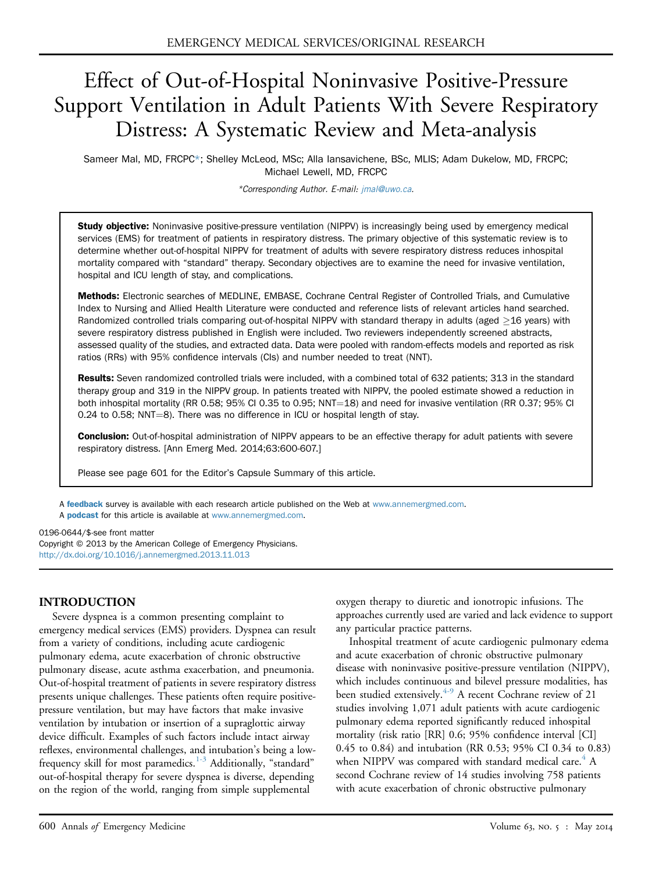# Effect of Out-of-Hospital Noninvasive Positive-Pressure Support Ventilation in Adult Patients With Severe Respiratory Distress: A Systematic Review and Meta-analysis

Sameer Mal, MD, FRCPC\*; Shelley McLeod, MSc; Alla Iansavichene, BSc, MLIS; Adam Dukelow, MD, FRCPC; Michael Lewell, MD, FRCPC

\*Corresponding Author. E-mail: [jmal@uwo.ca](mailto:jmal@uwo.ca).

Study objective: Noninvasive positive-pressure ventilation (NIPPV) is increasingly being used by emergency medical services (EMS) for treatment of patients in respiratory distress. The primary objective of this systematic review is to determine whether out-of-hospital NIPPV for treatment of adults with severe respiratory distress reduces inhospital mortality compared with "standard" therapy. Secondary objectives are to examine the need for invasive ventilation, hospital and ICU length of stay, and complications.

Methods: Electronic searches of MEDLINE, EMBASE, Cochrane Central Register of Controlled Trials, and Cumulative Index to Nursing and Allied Health Literature were conducted and reference lists of relevant articles hand searched. Randomized controlled trials comparing out-of-hospital NIPPV with standard therapy in adults (aged  $\geq$ 16 years) with severe respiratory distress published in English were included. Two reviewers independently screened abstracts, assessed quality of the studies, and extracted data. Data were pooled with random-effects models and reported as risk ratios (RRs) with 95% confidence intervals (CIs) and number needed to treat (NNT).

Results: Seven randomized controlled trials were included, with a combined total of 632 patients; 313 in the standard therapy group and 319 in the NIPPV group. In patients treated with NIPPV, the pooled estimate showed a reduction in both inhospital mortality (RR 0.58; 95% CI 0.35 to 0.95; NNT=18) and need for invasive ventilation (RR 0.37; 95% CI 0.24 to 0.58; NNT=8). There was no difference in ICU or hospital length of stay.

Conclusion: Out-of-hospital administration of NIPPV appears to be an effective therapy for adult patients with severe respiratory distress. [Ann Emerg Med. 2014;63:600-607.]

Please see page 601 for the Editor's Capsule Summary of this article.

A [feedback](https://www.surveymonkey.com/s/8M8GV5G) survey is available with each research article published on the Web at [www.annemergmed.com.](http://www.annemergmed.com) A **[podcast](http://annemergmed.com/content/podcast)** for this article is available at [www.annemergmed.com](http://www.annemergmed.com).

#### 0196-0644/\$-see front matter

Copyright © 2013 by the American College of Emergency Physicians. <http://dx.doi.org/10.1016/j.annemergmed.2013.11.013>

## INTRODUCTION

Severe dyspnea is a common presenting complaint to emergency medical services (EMS) providers. Dyspnea can result from a variety of conditions, including acute cardiogenic pulmonary edema, acute exacerbation of chronic obstructive pulmonary disease, acute asthma exacerbation, and pneumonia. Out-of-hospital treatment of patients in severe respiratory distress presents unique challenges. These patients often require positivepressure ventilation, but may have factors that make invasive ventilation by intubation or insertion of a supraglottic airway device difficult. Examples of such factors include intact airway reflexes, environmental challenges, and intubation's being a low-frequency skill for most paramedics.<sup>[1-3](#page-6-0)</sup> Additionally, "standard" out-of-hospital therapy for severe dyspnea is diverse, depending on the region of the world, ranging from simple supplemental

oxygen therapy to diuretic and ionotropic infusions. The approaches currently used are varied and lack evidence to support any particular practice patterns.

Inhospital treatment of acute cardiogenic pulmonary edema and acute exacerbation of chronic obstructive pulmonary disease with noninvasive positive-pressure ventilation (NIPPV), which includes continuous and bilevel pressure modalities, has been studied extensively.<sup> $4-9$ </sup> A recent Cochrane review of 21 studies involving 1,071 adult patients with acute cardiogenic pulmonary edema reported significantly reduced inhospital mortality (risk ratio [RR] 0.6; 95% confidence interval [CI] 0.45 to 0.84) and intubation (RR 0.53; 95% CI 0.34 to 0.83) when NIPPV was compared with standard medical care.<sup>4</sup> A second Cochrane review of 14 studies involving 758 patients with acute exacerbation of chronic obstructive pulmonary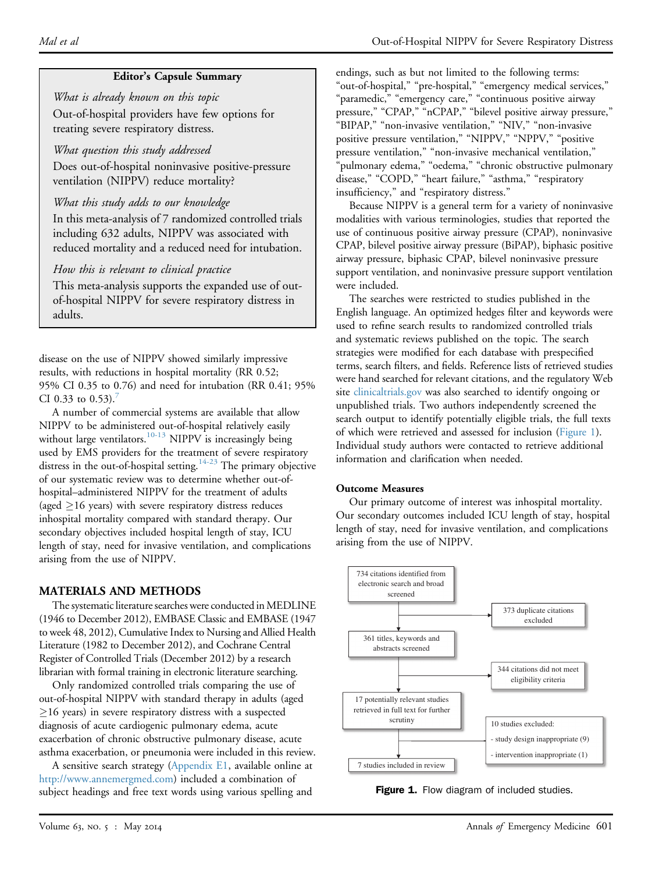## Editor's Capsule Summary

What is already known on this topic Out-of-hospital providers have few options for treating severe respiratory distress.

## What question this study addressed

Does out-of-hospital noninvasive positive-pressure ventilation (NIPPV) reduce mortality?

# What this study adds to our knowledge

In this meta-analysis of 7 randomized controlled trials including 632 adults, NIPPV was associated with reduced mortality and a reduced need for intubation.

# How this is relevant to clinical practice

This meta-analysis supports the expanded use of outof-hospital NIPPV for severe respiratory distress in adults.

disease on the use of NIPPV showed similarly impressive results, with reductions in hospital mortality (RR 0.52; 95% CI 0.35 to 0.76) and need for intubation (RR 0.41; 95% CI 0.33 to 0.53).<sup>[7](#page-6-2)</sup>

A number of commercial systems are available that allow NIPPV to be administered out-of-hospital relatively easily without large ventilators.<sup>[10-13](#page-6-3)</sup> NIPPV is increasingly being used by EMS providers for the treatment of severe respiratory distress in the out-of-hospital setting.<sup>[14-23](#page-6-4)</sup> The primary objective of our systematic review was to determine whether out-ofhospital–administered NIPPV for the treatment of adults (aged  $>16$  years) with severe respiratory distress reduces inhospital mortality compared with standard therapy. Our secondary objectives included hospital length of stay, ICU length of stay, need for invasive ventilation, and complications arising from the use of NIPPV.

# MATERIALS AND METHODS

The systematic literature searches were conducted in MEDLINE (1946 to December 2012), EMBASE Classic and EMBASE (1947 to week 48, 2012), Cumulative Index to Nursing and Allied Health Literature (1982 to December 2012), and Cochrane Central Register of Controlled Trials (December 2012) by a research librarian with formal training in electronic literature searching.

Only randomized controlled trials comparing the use of out-of-hospital NIPPV with standard therapy in adults (aged  $\geq$ 16 years) in severe respiratory distress with a suspected diagnosis of acute cardiogenic pulmonary edema, acute exacerbation of chronic obstructive pulmonary disease, acute asthma exacerbation, or pneumonia were included in this review.

A sensitive search strategy ([Appendix E1,](#page-8-0) available online at [http://www.annemergmed.com\)](http://www.annemergmed.com) included a combination of subject headings and free text words using various spelling and endings, such as but not limited to the following terms: "out-of-hospital," "pre-hospital," "emergency medical services," "paramedic," "emergency care," "continuous positive airway pressure," "CPAP," "nCPAP," "bilevel positive airway pressure," "BIPAP," "non-invasive ventilation," "NIV," "non-invasive positive pressure ventilation," "NIPPV," "NPPV," "positive pressure ventilation," "non-invasive mechanical ventilation," "pulmonary edema," "oedema," "chronic obstructive pulmonary disease," "COPD," "heart failure," "asthma," "respiratory insufficiency," and "respiratory distress."

Because NIPPV is a general term for a variety of noninvasive modalities with various terminologies, studies that reported the use of continuous positive airway pressure (CPAP), noninvasive CPAP, bilevel positive airway pressure (BiPAP), biphasic positive airway pressure, biphasic CPAP, bilevel noninvasive pressure support ventilation, and noninvasive pressure support ventilation were included.

The searches were restricted to studies published in the English language. An optimized hedges filter and keywords were used to refine search results to randomized controlled trials and systematic reviews published on the topic. The search strategies were modified for each database with prespecified terms, search filters, and fields. Reference lists of retrieved studies were hand searched for relevant citations, and the regulatory Web site [clinicaltrials.gov](http://clinicaltrials.gov) was also searched to identify ongoing or unpublished trials. Two authors independently screened the search output to identify potentially eligible trials, the full texts of which were retrieved and assessed for inclusion ([Figure 1\)](#page-1-0). Individual study authors were contacted to retrieve additional information and clarification when needed.

## Outcome Measures

Our primary outcome of interest was inhospital mortality. Our secondary outcomes included ICU length of stay, hospital length of stay, need for invasive ventilation, and complications arising from the use of NIPPV.

<span id="page-1-0"></span>

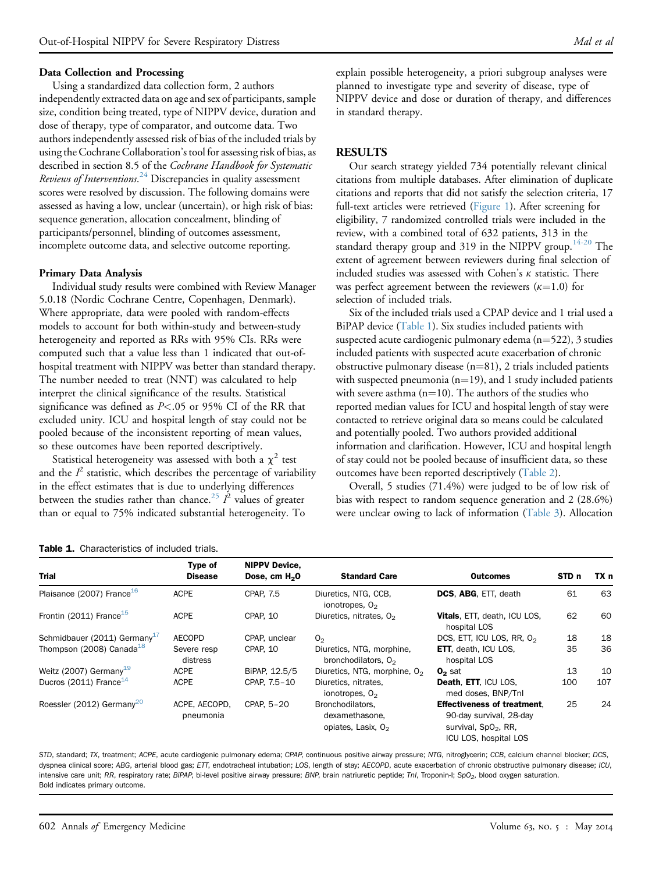#### Data Collection and Processing

Using a standardized data collection form, 2 authors independently extracted data on age and sex of participants, sample size, condition being treated, type of NIPPV device, duration and dose of therapy, type of comparator, and outcome data. Two authors independently assessed risk of bias of the included trials by using the Cochrane Collaboration's tool for assessing risk of bias, as described in section 8.5 of the Cochrane Handbook for Systematic Reviews of Interventions.<sup>[24](#page-7-0)</sup> Discrepancies in quality assessment scores were resolved by discussion. The following domains were assessed as having a low, unclear (uncertain), or high risk of bias: sequence generation, allocation concealment, blinding of participants/personnel, blinding of outcomes assessment, incomplete outcome data, and selective outcome reporting.

#### Primary Data Analysis

Individual study results were combined with Review Manager 5.0.18 (Nordic Cochrane Centre, Copenhagen, Denmark). Where appropriate, data were pooled with random-effects models to account for both within-study and between-study heterogeneity and reported as RRs with 95% CIs. RRs were computed such that a value less than 1 indicated that out-ofhospital treatment with NIPPV was better than standard therapy. The number needed to treat (NNT) was calculated to help interpret the clinical significance of the results. Statistical significance was defined as  $P<.05$  or 95% CI of the RR that excluded unity. ICU and hospital length of stay could not be pooled because of the inconsistent reporting of mean values, so these outcomes have been reported descriptively.

Statistical heterogeneity was assessed with both a  $\chi^2$  test and the  $I^2$  statistic, which describes the percentage of variability in the effect estimates that is due to underlying differences between the studies rather than chance.<sup>[25](#page-7-1)</sup>  $\vec{P}$  values of greater than or equal to 75% indicated substantial heterogeneity. To

explain possible heterogeneity, a priori subgroup analyses were planned to investigate type and severity of disease, type of NIPPV device and dose or duration of therapy, and differences in standard therapy.

## RESULTS

Our search strategy yielded 734 potentially relevant clinical citations from multiple databases. After elimination of duplicate citations and reports that did not satisfy the selection criteria, 17 full-text articles were retrieved ([Figure 1](#page-1-0)). After screening for eligibility, 7 randomized controlled trials were included in the review, with a combined total of 632 patients, 313 in the standard therapy group and 319 in the NIPPV group.<sup>[14-20](#page-6-4)</sup> The extent of agreement between reviewers during final selection of included studies was assessed with Cohen's  $\kappa$  statistic. There was perfect agreement between the reviewers  $(k=1.0)$  for selection of included trials.

Six of the included trials used a CPAP device and 1 trial used a BiPAP device ([Table 1\)](#page-2-0). Six studies included patients with suspected acute cardiogenic pulmonary edema  $(n=522)$ , 3 studies included patients with suspected acute exacerbation of chronic obstructive pulmonary disease  $(n=81)$ , 2 trials included patients with suspected pneumonia ( $n=19$ ), and 1 study included patients with severe asthma  $(n=10)$ . The authors of the studies who reported median values for ICU and hospital length of stay were contacted to retrieve original data so means could be calculated and potentially pooled. Two authors provided additional information and clarification. However, ICU and hospital length of stay could not be pooled because of insufficient data, so these outcomes have been reported descriptively [\(Table 2\)](#page-3-0).

Overall, 5 studies (71.4%) were judged to be of low risk of bias with respect to random sequence generation and 2 (28.6%) were unclear owing to lack of information [\(Table 3](#page-4-0)). Allocation

| <b>Trial</b>                             | Type of<br><b>Disease</b>  | <b>NIPPV Device,</b><br>Dose, cm $H2O$ | <b>Standard Care</b>                                       | <b>Outcomes</b>                                                                                                  | STD <sub>n</sub> | TX n |
|------------------------------------------|----------------------------|----------------------------------------|------------------------------------------------------------|------------------------------------------------------------------------------------------------------------------|------------------|------|
| Plaisance (2007) France <sup>16</sup>    | <b>ACPE</b>                | <b>CPAP. 7.5</b>                       | Diuretics, NTG, CCB,<br>ionotropes, $O2$                   | DCS, ABG, ETT, death                                                                                             | 61               | 63   |
| Frontin (2011) France <sup>15</sup>      | <b>ACPE</b>                | <b>CPAP. 10</b>                        | Diuretics, nitrates, $O2$                                  | Vitals, ETT, death, ICU LOS,<br>hospital LOS                                                                     | 62               | 60   |
| Schmidbauer (2011) Germany <sup>17</sup> | <b>AECOPD</b>              | CPAP. unclear                          | 0 <sub>2</sub>                                             | DCS, ETT, ICU LOS, RR, O <sub>2</sub>                                                                            | 18               | 18   |
| Thompson (2008) Canada <sup>18</sup>     | Severe resp<br>distress    | <b>CPAP, 10</b>                        | Diuretics, NTG, morphine,<br>bronchodilators, $O2$         | ETT, death, ICU LOS,<br>hospital LOS                                                                             | 35               | 36   |
| Weitz (2007) Germany <sup>19</sup>       | <b>ACPE</b>                | BiPAP, 12.5/5                          | Diuretics, NTG, morphine, O <sub>2</sub>                   | $02$ sat                                                                                                         | 13               | 10   |
| Ducros (2011) France <sup>14</sup>       | <b>ACPE</b>                | CPAP. 7.5-10                           | Diuretics, nitrates,<br>ionotropes, $O2$                   | <b>Death. ETT. ICU LOS.</b><br>med doses, BNP/Tnl                                                                | 100              | 107  |
| Roessler (2012) Germany <sup>20</sup>    | ACPE. AECOPD.<br>pneumonia | CPAP. 5-20                             | Bronchodilators.<br>dexamethasone.<br>opiates, Lasix, $O2$ | <b>Effectiveness of treatment.</b><br>90-day survival, 28-day<br>survival, $SpO2$ , RR,<br>ICU LOS, hospital LOS | 25               | 24   |

### Table 1. Characteristics of included trials.

<span id="page-2-0"></span>STD, standard; TX, treatment; ACPE, acute cardiogenic pulmonary edema; CPAP, continuous positive airway pressure; NTG, nitroglycerin; CCB, calcium channel blocker; DCS, dyspnea clinical score; ABG, arterial blood gas; ETT, endotracheal intubation; LOS, length of stay; AECOPD, acute exacerbation of chronic obstructive pulmonary disease; ICU, intensive care unit; RR, respiratory rate; BiPAP, bi-level positive airway pressure; BNP, brain natriuretic peptide; Tnl, Troponin-I; SpO<sub>2</sub>, blood oxygen saturation. Bold indicates primary outcome.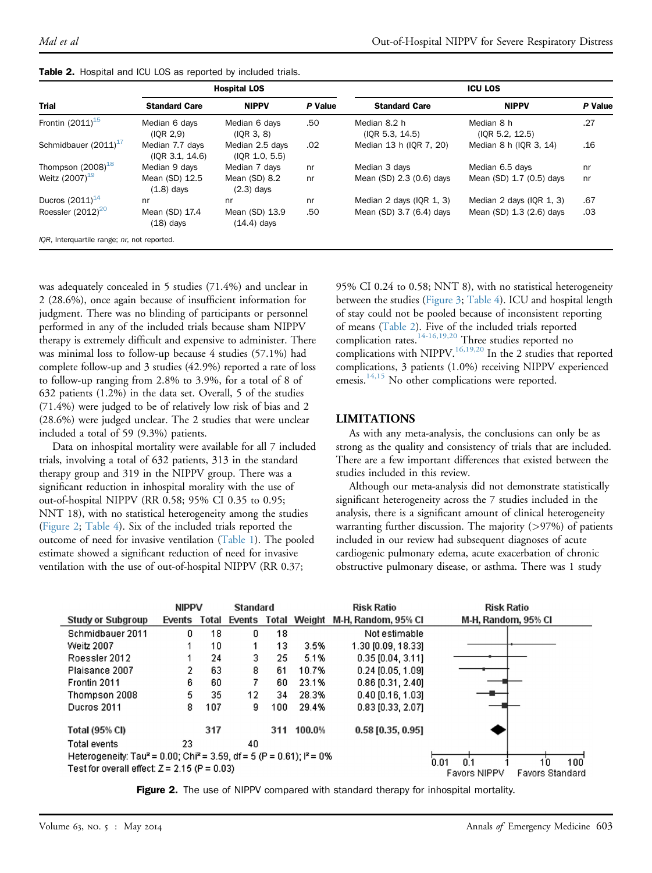|                                             |                                    | <b>Hospital LOS</b>               |         | <b>ICU LOS</b>                  |                               |         |  |
|---------------------------------------------|------------------------------------|-----------------------------------|---------|---------------------------------|-------------------------------|---------|--|
| <b>Trial</b>                                | <b>Standard Care</b>               | <b>NIPPV</b>                      | P Value | <b>Standard Care</b>            | <b>NIPPV</b>                  | P Value |  |
| Frontin $(2011)^{15}$                       | Median 6 days<br>(IOR 2.9)         | Median 6 days<br>(IOR 3, 8)       | .50     | Median 8.2 h<br>(IOR 5.3, 14.5) | Median 8 h<br>(IOR 5.2, 12.5) | .27     |  |
| Schmidbauer $(2011)^{1/2}$                  | Median 7.7 days<br>(IOR 3.1, 14.6) | Median 2.5 days<br>(IOR 1.0, 5.5) | .02     | Median 13 h (IQR 7, 20)         | Median 8 h (IQR 3, 14)        | .16     |  |
| Thompson $(2008)^{18}$                      | Median 9 days                      | Median 7 days                     | nr      | Median 3 days                   | Median 6.5 days               | nr      |  |
| Weitz (2007) <sup>19</sup>                  | Mean (SD) 12.5<br>$(1.8)$ days     | Mean (SD) 8.2<br>$(2.3)$ days     | nr      | Mean (SD) 2.3 (0.6) days        | Mean (SD) 1.7 (0.5) days      | nr      |  |
| Ducros $(2011)^{14}$                        | nr                                 | nr                                | nr      | Median 2 days (IQR 1, 3)        | Median 2 days (IQR 1, 3)      | .67     |  |
| Roessler $(2012)^{20}$                      | Mean (SD) 17.4<br>$(18)$ days      | Mean (SD) 13.9<br>$(14.4)$ days   | .50     | Mean (SD) 3.7 (6.4) days        | Mean (SD) 1.3 (2.6) days      | .03     |  |
| IOR, Interquartile range; nr, not reported. |                                    |                                   |         |                                 |                               |         |  |

|  |  |  |  |  | Table 2. Hospital and ICU LOS as reported by included trials. |  |  |  |
|--|--|--|--|--|---------------------------------------------------------------|--|--|--|
|--|--|--|--|--|---------------------------------------------------------------|--|--|--|

<span id="page-3-0"></span>was adequately concealed in 5 studies (71.4%) and unclear in 2 (28.6%), once again because of insufficient information for judgment. There was no blinding of participants or personnel performed in any of the included trials because sham NIPPV therapy is extremely difficult and expensive to administer. There was minimal loss to follow-up because 4 studies (57.1%) had complete follow-up and 3 studies (42.9%) reported a rate of loss to follow-up ranging from 2.8% to 3.9%, for a total of 8 of 632 patients (1.2%) in the data set. Overall, 5 of the studies (71.4%) were judged to be of relatively low risk of bias and 2 (28.6%) were judged unclear. The 2 studies that were unclear included a total of 59 (9.3%) patients.

Data on inhospital mortality were available for all 7 included trials, involving a total of 632 patients, 313 in the standard therapy group and 319 in the NIPPV group. There was a significant reduction in inhospital morality with the use of out-of-hospital NIPPV (RR 0.58; 95% CI 0.35 to 0.95; NNT 18), with no statistical heterogeneity among the studies [\(Figure 2;](#page-3-1) [Table 4\)](#page-5-0). Six of the included trials reported the outcome of need for invasive ventilation [\(Table 1](#page-2-0)). The pooled estimate showed a significant reduction of need for invasive ventilation with the use of out-of-hospital NIPPV (RR 0.37;

95% CI 0.24 to 0.58; NNT 8), with no statistical heterogeneity between the studies ([Figure 3;](#page-4-1) [Table 4](#page-5-0)). ICU and hospital length of stay could not be pooled because of inconsistent reporting of means ([Table 2\)](#page-3-0). Five of the included trials reported complication rates.<sup>14-16,19,20</sup> Three studies reported no complications with NIPPV.<sup>[16,19,20](#page-7-2)</sup> In the 2 studies that reported complications, 3 patients (1.0%) receiving NIPPV experienced emesis. $14,15$  No other complications were reported.

## LIMITATIONS

As with any meta-analysis, the conclusions can only be as strong as the quality and consistency of trials that are included. There are a few important differences that existed between the studies included in this review.

Although our meta-analysis did not demonstrate statistically significant heterogeneity across the 7 studies included in the analysis, there is a significant amount of clinical heterogeneity warranting further discussion. The majority  $(>\!\!>97\%)$  of patients included in our review had subsequent diagnoses of acute cardiogenic pulmonary edema, acute exacerbation of chronic obstructive pulmonary disease, or asthma. There was 1 study

<span id="page-3-1"></span>

|                                                                                                         | <b>NIPPV</b> |                          | Standard           |     |        | <b>Risk Ratio</b>          | <b>Risk Ratio</b>                      |
|---------------------------------------------------------------------------------------------------------|--------------|--------------------------|--------------------|-----|--------|----------------------------|----------------------------------------|
| Study or Subgroup                                                                                       | Events       |                          | Total Events Total |     |        | Weight M-H, Random, 95% CI | M-H. Random. 95% CI                    |
| Schmidbauer 2011                                                                                        | 0            | 18                       | 0                  | 18  |        | Not estimable              |                                        |
| Weitz 2007                                                                                              |              | 10                       |                    | 13  | 3.5%   | 1.30 [0.09, 18.33]         |                                        |
| Roessler 2012                                                                                           |              | 24                       | 3                  | 25  | 5.1%   | $0.35$ $[0.04, 3.11]$      |                                        |
| Plaisance 2007                                                                                          | 2.           | 63                       | 8                  | 61  | 10.7%  | 0.24 [0.05, 1.09]          |                                        |
| Frontin 2011                                                                                            | 6            | 60                       |                    | 60  | 23.1%  | $0.86$ [0.31, 2.40]        |                                        |
| Thompson 2008                                                                                           | 5            | 35                       | 12                 | 34  | 28.3%  | $0.40$ $[0.16, 1.03]$      |                                        |
| Ducros 2011                                                                                             | 8            | 107                      | 9                  | 100 | 29.4%  | $0.83$ [0.33, 2.07]        |                                        |
| Total (95% CI)                                                                                          |              | 317                      |                    | 311 | 100.0% | $0.58$ [0.35, 0.95]        |                                        |
| Total events                                                                                            | 23           |                          | 40                 |     |        |                            |                                        |
| Heterogeneity: Tau <sup>2</sup> = 0.00; Chi <sup>2</sup> = 3.59, df = 5 (P = 0.61); l <sup>2</sup> = 0% |              | 0.01<br>100<br>0.1<br>10 |                    |     |        |                            |                                        |
| Test for overall effect: $Z = 2.15$ (P = 0.03)                                                          |              |                          |                    |     |        |                            | Favors NIPPV<br><b>Favors Standard</b> |

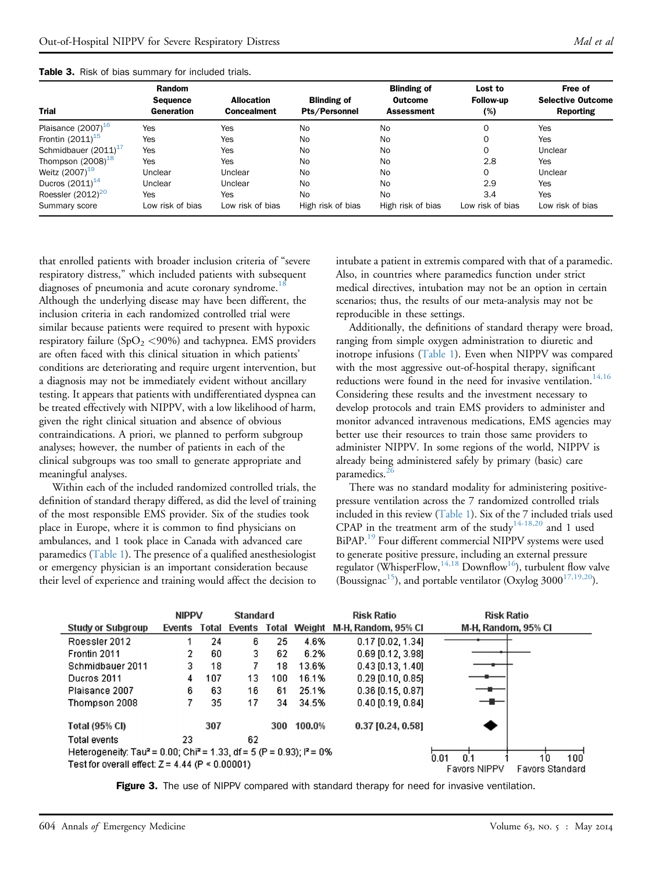| Trial                            | Random<br><b>Sequence</b><br>Generation | <b>Allocation</b><br><b>Concealment</b> | <b>Blinding of</b><br><b>Pts/Personnel</b> | <b>Blinding of</b><br><b>Outcome</b><br><b>Assessment</b> | Lost to<br><b>Follow-up</b><br>(%) | Free of<br><b>Selective Outcome</b><br>Reporting |
|----------------------------------|-----------------------------------------|-----------------------------------------|--------------------------------------------|-----------------------------------------------------------|------------------------------------|--------------------------------------------------|
| Plaisance (2007) <sup>16</sup>   | Yes                                     | Yes                                     | No                                         | <b>No</b>                                                 | 0                                  | Yes                                              |
| Frontin $(2011)^{15}$            | Yes                                     | Yes                                     | No                                         | <b>No</b>                                                 | 0                                  | Yes                                              |
| Schmidbauer (2011) <sup>17</sup> | Yes                                     | Yes                                     | No                                         | <b>No</b>                                                 | $\Omega$                           | Unclear                                          |
| Thompson (2008) <sup>18</sup>    | Yes                                     | Yes                                     | No                                         | No                                                        | 2.8                                | Yes                                              |
| Weitz (2007) <sup>19</sup>       | Unclear                                 | Unclear                                 | No                                         | No                                                        | $\Omega$                           | Unclear                                          |
| Ducros $(2011)^{14}$             | Unclear                                 | Unclear                                 | No                                         | <b>No</b>                                                 | 2.9                                | Yes                                              |
| Roessler $(2012)^{20}$           | Yes                                     | Yes                                     | <b>No</b>                                  | No                                                        | 3.4                                | Yes                                              |
| Summary score                    | Low risk of bias                        | Low risk of bias                        | High risk of bias                          | High risk of bias                                         | Low risk of bias                   | Low risk of bias                                 |
|                                  |                                         |                                         |                                            |                                                           |                                    |                                                  |

<span id="page-4-0"></span>

|  |  | Table 3. Risk of bias summary for included trials. |  |  |
|--|--|----------------------------------------------------|--|--|
|  |  |                                                    |  |  |

that enrolled patients with broader inclusion criteria of "severe respiratory distress," which included patients with subsequent diagnoses of pneumonia and acute coronary syndrome.<sup>1</sup> Although the underlying disease may have been different, the inclusion criteria in each randomized controlled trial were similar because patients were required to present with hypoxic respiratory failure ( $SpO<sub>2</sub> < 90%$ ) and tachypnea. EMS providers are often faced with this clinical situation in which patients' conditions are deteriorating and require urgent intervention, but a diagnosis may not be immediately evident without ancillary testing. It appears that patients with undifferentiated dyspnea can be treated effectively with NIPPV, with a low likelihood of harm, given the right clinical situation and absence of obvious contraindications. A priori, we planned to perform subgroup analyses; however, the number of patients in each of the clinical subgroups was too small to generate appropriate and meaningful analyses.

Within each of the included randomized controlled trials, the definition of standard therapy differed, as did the level of training of the most responsible EMS provider. Six of the studies took place in Europe, where it is common to find physicians on ambulances, and 1 took place in Canada with advanced care paramedics ([Table 1](#page-2-0)). The presence of a qualified anesthesiologist or emergency physician is an important consideration because their level of experience and training would affect the decision to

intubate a patient in extremis compared with that of a paramedic. Also, in countries where paramedics function under strict medical directives, intubation may not be an option in certain scenarios; thus, the results of our meta-analysis may not be reproducible in these settings.

Additionally, the definitions of standard therapy were broad, ranging from simple oxygen administration to diuretic and inotrope infusions [\(Table 1](#page-2-0)). Even when NIPPV was compared with the most aggressive out-of-hospital therapy, significant reductions were found in the need for invasive ventilation.<sup>[14,16](#page-6-4)</sup> Considering these results and the investment necessary to develop protocols and train EMS providers to administer and monitor advanced intravenous medications, EMS agencies may better use their resources to train those same providers to administer NIPPV. In some regions of the world, NIPPV is already being administered safely by primary (basic) care paramedics.<sup>2</sup>

There was no standard modality for administering positivepressure ventilation across the 7 randomized controlled trials included in this review [\(Table 1\)](#page-2-0). Six of the 7 included trials used CPAP in the treatment arm of the study<sup>[14-18,20](#page-6-4)</sup> and 1 used BiPAP.<sup>[19](#page-7-6)</sup> Four different commercial NIPPV systems were used to generate positive pressure, including an external pressure regulator (WhisperFlow, <sup>[14,18](#page-6-4)</sup> Downflow<sup>16</sup>), turbulent flow valve (Boussignac<sup>[15](#page-7-3)</sup>), and portable ventilator (Oxylog  $3000^{17,19,20}$ ).

<span id="page-4-1"></span>

|                                                                                                         | <b>NIPPV</b> |                                        | <b>Standard</b>          |       |        | Risk Ratio                 | <b>Risk Ratio</b>   |
|---------------------------------------------------------------------------------------------------------|--------------|----------------------------------------|--------------------------|-------|--------|----------------------------|---------------------|
| Study or Subgroup                                                                                       | Events       |                                        | Total Events             | Total |        | Weight M-H, Random, 95% CI | M-H, Random, 95% Cl |
| Roessler 2012                                                                                           |              | 24                                     | 6                        | 25    | 4.6%   | $0.17$ [0.02, 1.34]        |                     |
| Frontin 2011                                                                                            | 2            | 60                                     | 3                        | 62    | 6.2%   | $0.69$ [0.12, 3.98]        |                     |
| Schmidbauer 2011                                                                                        | 3            | 18                                     |                          | 18    | 13.6%  | $0.43$ [0.13, 1.40]        |                     |
| Ducros 2011                                                                                             | 4            | 107                                    | 13                       | 100   | 16.1%  | $0.29$ [0.10, 0.85]        |                     |
| Plaisance 2007                                                                                          | 6            | 63                                     | 16                       | 61    | 25.1%  | $0.36$ [0.15, 0.87]        |                     |
| Thompson 2008                                                                                           |              | 35                                     | 17                       | 34    | 34.5%  | $0.40$ $[0.19, 0.84]$      |                     |
| Total (95% CI)                                                                                          |              | 307                                    |                          | 300   | 100.0% | $0.37$ [0.24, 0.58]        |                     |
| Total events                                                                                            | 23.          |                                        | 62                       |       |        |                            |                     |
| Heterogeneity: Tau <sup>2</sup> = 0.00; Chi <sup>2</sup> = 1.33, df = 5 (P = 0.93); l <sup>2</sup> = 0% |              |                                        | 100<br>0.01<br>0.1<br>10 |       |        |                            |                     |
| Test for overall effect: $Z = 4.44$ (P < 0.00001)                                                       |              | Favors NIPPV<br><b>Favors Standard</b> |                          |       |        |                            |                     |

Figure 3. The use of NIPPV compared with standard therapy for need for invasive ventilation.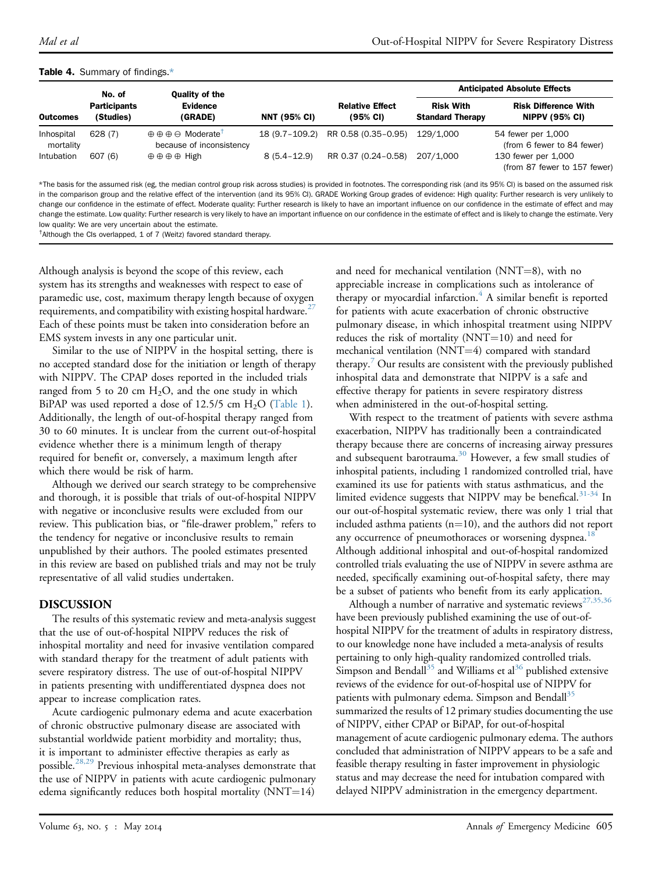#### <span id="page-5-0"></span>Table 4. Summary of findings[.\\*](#page-5-1)

| <b>Outcomes</b>         | No. of                           | <b>Quality of the</b>                                                        |                     |                                              |                                             | <b>Anticipated Absolute Effects</b>                  |
|-------------------------|----------------------------------|------------------------------------------------------------------------------|---------------------|----------------------------------------------|---------------------------------------------|------------------------------------------------------|
|                         | <b>Participants</b><br>(Studies) | <b>Evidence</b><br>(GRADE)                                                   | <b>NNT (95% CI)</b> | <b>Relative Effect</b><br>$(95% \text{ Cl})$ | <b>Risk With</b><br><b>Standard Therapy</b> | <b>Risk Difference With</b><br><b>NIPPV (95% CI)</b> |
| Inhospital<br>mortality | 628(7)                           | $\oplus$ $\oplus$ $\oplus$ Moderate <sup>T</sup><br>because of inconsistency | 18 (9.7–109.2)      | RR 0.58 (0.35-0.95)                          | 129/1.000                                   | 54 fewer per 1,000<br>(from 6 fewer to 84 fewer)     |
| Intubation              | 607(6)                           | $\oplus$ $\oplus$ $\oplus$ High                                              | $8(5.4 - 12.9)$     | RR 0.37 (0.24-0.58)                          | 207/1.000                                   | 130 fewer per 1,000<br>(from 87 fewer to 157 fewer)  |

<span id="page-5-1"></span>\*The basis for the assumed risk (eg, the median control group risk across studies) is provided in footnotes. The corresponding risk (and its 95% CI) is based on the assumed risk in the comparison group and the relative effect of the intervention (and its 95% CI). GRADE Working Group grades of evidence: High quality: Further research is very unlikely to change our confidence in the estimate of effect. Moderate quality: Further research is likely to have an important influence on our confidence in the estimate of effect and may change the estimate. Low quality: Further research is very likely to have an important influence on our confidence in the estimate of effect and is likely to change the estimate. Very low quality: We are very uncertain about the estimate.

<span id="page-5-2"></span>† Although the CIs overlapped, 1 of 7 (Weitz) favored standard therapy.

Although analysis is beyond the scope of this review, each system has its strengths and weaknesses with respect to ease of paramedic use, cost, maximum therapy length because of oxygen requirements, and compatibility with existing hospital hardware.<sup>[27](#page-7-9)</sup> Each of these points must be taken into consideration before an EMS system invests in any one particular unit.

Similar to the use of NIPPV in the hospital setting, there is no accepted standard dose for the initiation or length of therapy with NIPPV. The CPAP doses reported in the included trials ranged from 5 to 20 cm  $H_2O$ , and the one study in which BiPAP was used reported a dose of 12.5/5 cm  $H_2O$  [\(Table 1](#page-2-0)). Additionally, the length of out-of-hospital therapy ranged from 30 to 60 minutes. It is unclear from the current out-of-hospital evidence whether there is a minimum length of therapy required for benefit or, conversely, a maximum length after which there would be risk of harm.

Although we derived our search strategy to be comprehensive and thorough, it is possible that trials of out-of-hospital NIPPV with negative or inconclusive results were excluded from our review. This publication bias, or "file-drawer problem," refers to the tendency for negative or inconclusive results to remain unpublished by their authors. The pooled estimates presented in this review are based on published trials and may not be truly representative of all valid studies undertaken.

#### DISCUSSION

The results of this systematic review and meta-analysis suggest that the use of out-of-hospital NIPPV reduces the risk of inhospital mortality and need for invasive ventilation compared with standard therapy for the treatment of adult patients with severe respiratory distress. The use of out-of-hospital NIPPV in patients presenting with undifferentiated dyspnea does not appear to increase complication rates.

Acute cardiogenic pulmonary edema and acute exacerbation of chronic obstructive pulmonary disease are associated with substantial worldwide patient morbidity and mortality; thus, it is important to administer effective therapies as early as possible.<sup>[28,29](#page-7-10)</sup> Previous inhospital meta-analyses demonstrate that the use of NIPPV in patients with acute cardiogenic pulmonary edema significantly reduces both hospital mortality  $(NNT=14)$ 

and need for mechanical ventilation ( $NNT=8$ ), with no appreciable increase in complications such as intolerance of therapy or myocardial infarction.<sup>[4](#page-6-1)</sup> A similar benefit is reported for patients with acute exacerbation of chronic obstructive pulmonary disease, in which inhospital treatment using NIPPV reduces the risk of mortality  $(NNT=10)$  and need for mechanical ventilation ( $NNT=4$ ) compared with standard therapy.[7](#page-6-2) Our results are consistent with the previously published inhospital data and demonstrate that NIPPV is a safe and effective therapy for patients in severe respiratory distress when administered in the out-of-hospital setting.

With respect to the treatment of patients with severe asthma exacerbation, NIPPV has traditionally been a contraindicated therapy because there are concerns of increasing airway pressures and subsequent barotrauma.<sup>[30](#page-7-11)</sup> However, a few small studies of inhospital patients, including 1 randomized controlled trial, have examined its use for patients with status asthmaticus, and the limited evidence suggests that NIPPV may be benefical.<sup>[31-34](#page-7-12)</sup> In our out-of-hospital systematic review, there was only 1 trial that included asthma patients  $(n=10)$ , and the authors did not report any occurrence of pneumothoraces or worsening dyspnea.<sup>1</sup> Although additional inhospital and out-of-hospital randomized controlled trials evaluating the use of NIPPV in severe asthma are needed, specifically examining out-of-hospital safety, there may be a subset of patients who benefit from its early application.

Although a number of narrative and systematic reviews<sup>[27,35,36](#page-7-9)</sup> have been previously published examining the use of out-ofhospital NIPPV for the treatment of adults in respiratory distress, to our knowledge none have included a meta-analysis of results pertaining to only high-quality randomized controlled trials. Simpson and Bendall<sup>[35](#page-7-13)</sup> and Williams et al<sup>[36](#page-7-14)</sup> published extensive reviews of the evidence for out-of-hospital use of NIPPV for patients with pulmonary edema. Simpson and Bendall<sup>[35](#page-7-13)</sup> summarized the results of 12 primary studies documenting the use of NIPPV, either CPAP or BiPAP, for out-of-hospital management of acute cardiogenic pulmonary edema. The authors concluded that administration of NIPPV appears to be a safe and feasible therapy resulting in faster improvement in physiologic status and may decrease the need for intubation compared with delayed NIPPV administration in the emergency department.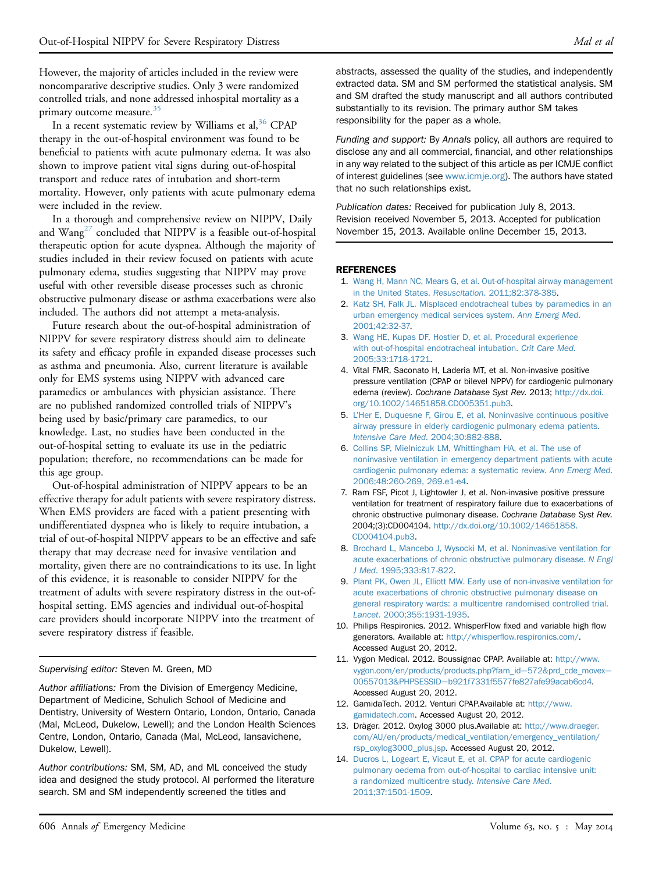However, the majority of articles included in the review were noncomparative descriptive studies. Only 3 were randomized controlled trials, and none addressed inhospital mortality as a primary outcome measure.<sup>[35](#page-7-13)</sup>

In a recent systematic review by Williams et al,<sup>[36](#page-7-14)</sup> CPAP therapy in the out-of-hospital environment was found to be beneficial to patients with acute pulmonary edema. It was also shown to improve patient vital signs during out-of-hospital transport and reduce rates of intubation and short-term mortality. However, only patients with acute pulmonary edema were included in the review.

In a thorough and comprehensive review on NIPPV, Daily and  $Wang<sup>27</sup>$  $Wang<sup>27</sup>$  $Wang<sup>27</sup>$  concluded that NIPPV is a feasible out-of-hospital therapeutic option for acute dyspnea. Although the majority of studies included in their review focused on patients with acute pulmonary edema, studies suggesting that NIPPV may prove useful with other reversible disease processes such as chronic obstructive pulmonary disease or asthma exacerbations were also included. The authors did not attempt a meta-analysis.

Future research about the out-of-hospital administration of NIPPV for severe respiratory distress should aim to delineate its safety and efficacy profile in expanded disease processes such as asthma and pneumonia. Also, current literature is available only for EMS systems using NIPPV with advanced care paramedics or ambulances with physician assistance. There are no published randomized controlled trials of NIPPV's being used by basic/primary care paramedics, to our knowledge. Last, no studies have been conducted in the out-of-hospital setting to evaluate its use in the pediatric population; therefore, no recommendations can be made for this age group.

Out-of-hospital administration of NIPPV appears to be an effective therapy for adult patients with severe respiratory distress. When EMS providers are faced with a patient presenting with undifferentiated dyspnea who is likely to require intubation, a trial of out-of-hospital NIPPV appears to be an effective and safe therapy that may decrease need for invasive ventilation and mortality, given there are no contraindications to its use. In light of this evidence, it is reasonable to consider NIPPV for the treatment of adults with severe respiratory distress in the out-ofhospital setting. EMS agencies and individual out-of-hospital care providers should incorporate NIPPV into the treatment of severe respiratory distress if feasible.

#### Supervising editor: Steven M. Green, MD

Author affiliations: From the Division of Emergency Medicine, Department of Medicine, Schulich School of Medicine and Dentistry, University of Western Ontario, London, Ontario, Canada (Mal, McLeod, Dukelow, Lewell); and the London Health Sciences Centre, London, Ontario, Canada (Mal, McLeod, Iansavichene, Dukelow, Lewell).

Author contributions: SM, SM, AD, and ML conceived the study idea and designed the study protocol. AI performed the literature search. SM and SM independently screened the titles and

abstracts, assessed the quality of the studies, and independently extracted data. SM and SM performed the statistical analysis. SM and SM drafted the study manuscript and all authors contributed substantially to its revision. The primary author SM takes responsibility for the paper as a whole.

Funding and support: By Annals policy, all authors are required to disclose any and all commercial, financial, and other relationships in any way related to the subject of this article as per ICMJE conflict of interest guidelines (see [www.icmje.org](http://www.icmje.org/)). The authors have stated that no such relationships exist.

Publication dates: Received for publication July 8, 2013. Revision received November 5, 2013. Accepted for publication November 15, 2013. Available online December 15, 2013.

#### <span id="page-6-0"></span>REFERENCES

- 1. [Wang H, Mann NC, Mears G, et al. Out-of-hospital airway management](http://refhub.elsevier.com/S0196-0644(13)01587-4/sref1) [in the United States.](http://refhub.elsevier.com/S0196-0644(13)01587-4/sref1) Resuscitation. 2011;82:378-385.
- 2. [Katz SH, Falk JL. Misplaced endotracheal tubes by paramedics in an](http://refhub.elsevier.com/S0196-0644(13)01587-4/sref2) [urban emergency medical services system.](http://refhub.elsevier.com/S0196-0644(13)01587-4/sref2) Ann Emerg Med. [2001;42:32-37.](http://refhub.elsevier.com/S0196-0644(13)01587-4/sref2)
- 3. [Wang HE, Kupas DF, Hostler D, et al. Procedural experience](http://refhub.elsevier.com/S0196-0644(13)01587-4/sref3) [with out-of-hospital endotracheal intubation.](http://refhub.elsevier.com/S0196-0644(13)01587-4/sref3) Crit Care Med. [2005;33:1718-1721](http://refhub.elsevier.com/S0196-0644(13)01587-4/sref3).
- <span id="page-6-1"></span>4. Vital FMR, Saconato H, Laderia MT, et al. Non-invasive positive pressure ventilation (CPAP or bilevel NPPV) for cardiogenic pulmonary edema (review). Cochrane Database Syst Rev. 2013; [http://dx.doi.](http://dx.doi.org/10.1002/14651858.CD005351.pub3) [org/10.1002/14651858.CD005351.pub3](http://dx.doi.org/10.1002/14651858.CD005351.pub3).
- 5. L'[Her E, Duquesne F, Girou E, et al. Noninvasive continuous positive](http://refhub.elsevier.com/S0196-0644(13)01587-4/sref5) [airway pressure in elderly cardiogenic pulmonary edema patients.](http://refhub.elsevier.com/S0196-0644(13)01587-4/sref5) Intensive Care Med[. 2004;30:882-888](http://refhub.elsevier.com/S0196-0644(13)01587-4/sref5).
- 6. [Collins SP, Mielniczuk LM, Whittingham HA, et al. The use of](http://refhub.elsevier.com/S0196-0644(13)01587-4/sref6) [noninvasive ventilation in emergency department patients with acute](http://refhub.elsevier.com/S0196-0644(13)01587-4/sref6) [cardiogenic pulmonary edema: a systematic review.](http://refhub.elsevier.com/S0196-0644(13)01587-4/sref6) Ann Emerg Med. [2006;48:260-269, 269.e1-e4](http://refhub.elsevier.com/S0196-0644(13)01587-4/sref6).
- <span id="page-6-2"></span>7. Ram FSF, Picot J, Lightowler J, et al. Non-invasive positive pressure ventilation for treatment of respiratory failure due to exacerbations of chronic obstructive pulmonary disease. Cochrane Database Syst Rev. 2004;(3):CD004104. [http://dx.doi.org/10.1002/14651858.](http://dx.doi.org/10.1002/14651858.CD004104.pub3) [CD004104.pub3](http://dx.doi.org/10.1002/14651858.CD004104.pub3).
- 8. [Brochard L, Mancebo J, Wysocki M, et al. Noninvasive ventilation for](http://refhub.elsevier.com/S0196-0644(13)01587-4/sref8) [acute exacerbations of chronic obstructive pulmonary disease.](http://refhub.elsevier.com/S0196-0644(13)01587-4/sref8) N Engl J Med[. 1995;333:817-822](http://refhub.elsevier.com/S0196-0644(13)01587-4/sref8).
- 9. [Plant PK, Owen JL, Elliott MW. Early use of non-invasive ventilation for](http://refhub.elsevier.com/S0196-0644(13)01587-4/sref9) [acute exacerbations of chronic obstructive pulmonary disease on](http://refhub.elsevier.com/S0196-0644(13)01587-4/sref9) [general respiratory wards: a multicentre randomised controlled trial.](http://refhub.elsevier.com/S0196-0644(13)01587-4/sref9) Lancet[. 2000;355:1931-1935](http://refhub.elsevier.com/S0196-0644(13)01587-4/sref9).
- <span id="page-6-3"></span>10. Philips Respironics. 2012. WhisperFlow fixed and variable high flow generators. Available at: http://whisperfl[ow.respironics.com/](http://whisperflow.respironics.com/). Accessed August 20, 2012.
- 11. Vygon Medical. 2012. Boussignac CPAP. Available at: [http://www.](http://www.vygon.com/en/products/products.php?fam_id=572%26prd_cde_movex=00557013%26PHPSESSID=b921f7331f5577fe827afe99acab6cd4) [vygon.com/en/products/products.php?fam\\_id](http://www.vygon.com/en/products/products.php?fam_id=572%26prd_cde_movex=00557013%26PHPSESSID=b921f7331f5577fe827afe99acab6cd4)=[572&prd\\_cde\\_movex](http://www.vygon.com/en/products/products.php?fam_id=572%26prd_cde_movex=00557013%26PHPSESSID=b921f7331f5577fe827afe99acab6cd4)= [00557013&PHPSESSID](http://www.vygon.com/en/products/products.php?fam_id=572%26prd_cde_movex=00557013%26PHPSESSID=b921f7331f5577fe827afe99acab6cd4)=[b921f7331f5577fe827afe99acab6cd4](http://www.vygon.com/en/products/products.php?fam_id=572%26prd_cde_movex=00557013%26PHPSESSID=b921f7331f5577fe827afe99acab6cd4). Accessed August 20, 2012.
- 12. GamidaTech. 2012. Venturi CPAP.Available at: [http://www.](http://www.gamidatech.com) [gamidatech.com](http://www.gamidatech.com). Accessed August 20, 2012.
- 13. Dräger. 2012. Oxylog 3000 plus.Available at: [http://www.draeger.](http://www.draeger.com/AU/en/products/medical_ventilation/emergency_ventilation/rsp_oxylog3000_plus.jsp) [com/AU/en/products/medical\\_ventilation/emergency\\_ventilation/](http://www.draeger.com/AU/en/products/medical_ventilation/emergency_ventilation/rsp_oxylog3000_plus.jsp) [rsp\\_oxylog3000\\_plus.jsp.](http://www.draeger.com/AU/en/products/medical_ventilation/emergency_ventilation/rsp_oxylog3000_plus.jsp) Accessed August 20, 2012.
- <span id="page-6-4"></span>14. [Ducros L, Logeart E, Vicaut E, et al. CPAP for acute cardiogenic](http://refhub.elsevier.com/S0196-0644(13)01587-4/sref10) [pulmonary oedema from out-of-hospital to cardiac intensive unit:](http://refhub.elsevier.com/S0196-0644(13)01587-4/sref10) [a randomized multicentre study.](http://refhub.elsevier.com/S0196-0644(13)01587-4/sref10) Intensive Care Med. [2011;37:1501-1509](http://refhub.elsevier.com/S0196-0644(13)01587-4/sref10).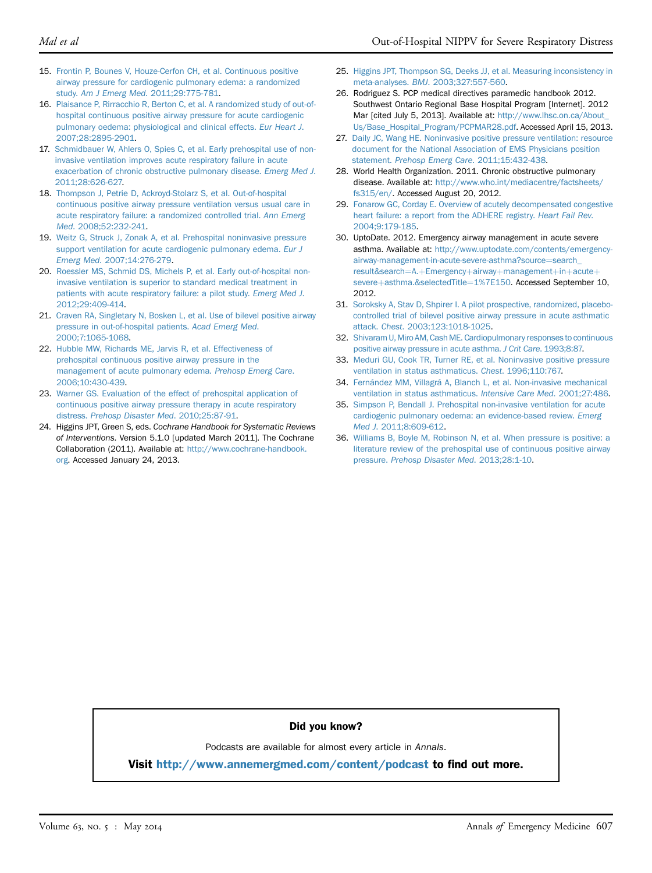- <span id="page-7-3"></span>15. [Frontin P, Bounes V, Houze-Cerfon CH, et al. Continuous positive](http://refhub.elsevier.com/S0196-0644(13)01587-4/sref11) [airway pressure for cardiogenic pulmonary edema: a randomized](http://refhub.elsevier.com/S0196-0644(13)01587-4/sref11) study. Am J Emerg Med[. 2011;29:775-781](http://refhub.elsevier.com/S0196-0644(13)01587-4/sref11).
- <span id="page-7-2"></span>16. [Plaisance P, Rirracchio R, Berton C, et al. A randomized study of out-of](http://refhub.elsevier.com/S0196-0644(13)01587-4/sref12)[hospital continuous positive airway pressure for acute cardiogenic](http://refhub.elsevier.com/S0196-0644(13)01587-4/sref12) [pulmonary oedema: physiological and clinical effects.](http://refhub.elsevier.com/S0196-0644(13)01587-4/sref12) Eur Heart J. [2007;28:2895-2901.](http://refhub.elsevier.com/S0196-0644(13)01587-4/sref12)
- <span id="page-7-4"></span>17. [Schmidbauer W, Ahlers O, Spies C, et al. Early prehospital use of non](http://refhub.elsevier.com/S0196-0644(13)01587-4/sref13)[invasive ventilation improves acute respiratory failure in acute](http://refhub.elsevier.com/S0196-0644(13)01587-4/sref13) [exacerbation of chronic obstructive pulmonary disease.](http://refhub.elsevier.com/S0196-0644(13)01587-4/sref13) Emerg Med J. [2011;28:626-627.](http://refhub.elsevier.com/S0196-0644(13)01587-4/sref13)
- <span id="page-7-5"></span>18. [Thompson J, Petrie D, Ackroyd-Stolarz S, et al. Out-of-hospital](http://refhub.elsevier.com/S0196-0644(13)01587-4/sref14) [continuous positive airway pressure ventilation versus usual care in](http://refhub.elsevier.com/S0196-0644(13)01587-4/sref14) [acute respiratory failure: a randomized controlled trial.](http://refhub.elsevier.com/S0196-0644(13)01587-4/sref14) Ann Emerg Med[. 2008;52:232-241.](http://refhub.elsevier.com/S0196-0644(13)01587-4/sref14)
- <span id="page-7-6"></span>19. [Weitz G, Struck J, Zonak A, et al. Prehospital noninvasive pressure](http://refhub.elsevier.com/S0196-0644(13)01587-4/sref15) [support ventilation for acute cardiogenic pulmonary edema.](http://refhub.elsevier.com/S0196-0644(13)01587-4/sref15) Eur J Emerg Med[. 2007;14:276-279.](http://refhub.elsevier.com/S0196-0644(13)01587-4/sref15)
- <span id="page-7-7"></span>20. [Roessler MS, Schmid DS, Michels P, et al. Early out-of-hospital non](http://refhub.elsevier.com/S0196-0644(13)01587-4/sref16)[invasive ventilation is superior to standard medical treatment in](http://refhub.elsevier.com/S0196-0644(13)01587-4/sref16) [patients with acute respiratory failure: a pilot study.](http://refhub.elsevier.com/S0196-0644(13)01587-4/sref16) Emerg Med J. [2012;29:409-414](http://refhub.elsevier.com/S0196-0644(13)01587-4/sref16).
- 21. [Craven RA, Singletary N, Bosken L, et al. Use of bilevel positive airway](http://refhub.elsevier.com/S0196-0644(13)01587-4/sref17) [pressure in out-of-hospital patients.](http://refhub.elsevier.com/S0196-0644(13)01587-4/sref17) Acad Emerg Med. [2000;7:1065-1068.](http://refhub.elsevier.com/S0196-0644(13)01587-4/sref17)
- 22. [Hubble MW, Richards ME, Jarvis R, et al. Effectiveness of](http://refhub.elsevier.com/S0196-0644(13)01587-4/sref18) [prehospital continuous positive airway pressure in the](http://refhub.elsevier.com/S0196-0644(13)01587-4/sref18) [management of acute pulmonary edema.](http://refhub.elsevier.com/S0196-0644(13)01587-4/sref18) Prehosp Emerg Care. [2006;10:430-439](http://refhub.elsevier.com/S0196-0644(13)01587-4/sref18).
- 23. [Warner GS. Evaluation of the effect of prehospital application of](http://refhub.elsevier.com/S0196-0644(13)01587-4/sref19) [continuous positive airway pressure therapy in acute respiratory](http://refhub.elsevier.com/S0196-0644(13)01587-4/sref19) distress. [Prehosp Disaster Med](http://refhub.elsevier.com/S0196-0644(13)01587-4/sref19). 2010;25:87-91.
- <span id="page-7-0"></span>24. Higgins JPT, Green S, eds. Cochrane Handbook for Systematic Reviews of Interventions. Version 5.1.0 [updated March 2011]. The Cochrane Collaboration (2011). Available at: [http://www.cochrane-handbook.](http://www.cochrane-handbook.org) [org.](http://www.cochrane-handbook.org) Accessed January 24, 2013.
- <span id="page-7-1"></span>25. [Higgins JPT, Thompson SG, Deeks JJ, et al. Measuring inconsistency in](http://refhub.elsevier.com/S0196-0644(13)01587-4/sref20) meta-analyses. BMJ[. 2003;327:557-560.](http://refhub.elsevier.com/S0196-0644(13)01587-4/sref20)
- <span id="page-7-8"></span>26. Rodriguez S. PCP medical directives paramedic handbook 2012. Southwest Ontario Regional Base Hospital Program [Internet]. 2012 Mar [cited July 5, 2013]. Available at: [http://www.lhsc.on.ca/About\\_](http://www.lhsc.on.ca/About_Us/Base_Hospital_Program/PCPMAR28.pdf) [Us/Base\\_Hospital\\_Program/PCPMAR28.pdf](http://www.lhsc.on.ca/About_Us/Base_Hospital_Program/PCPMAR28.pdf). Accessed April 15, 2013.
- <span id="page-7-9"></span>27. [Daily JC, Wang HE. Noninvasive positive pressure ventilation: resource](http://refhub.elsevier.com/S0196-0644(13)01587-4/sref23) [document for the National Association of EMS Physicians position](http://refhub.elsevier.com/S0196-0644(13)01587-4/sref23) statement. [Prehosp Emerg Care](http://refhub.elsevier.com/S0196-0644(13)01587-4/sref23). 2011;15:432-438.
- <span id="page-7-10"></span>28. World Health Organization. 2011. Chronic obstructive pulmonary disease. Available at: [http://www.who.int/mediacentre/factsheets/](http://www.who.int/mediacentre/factsheets/fs315/en/) [fs315/en/](http://www.who.int/mediacentre/factsheets/fs315/en/). Accessed August 20, 2012.
- 29. [Fonarow GC, Corday E. Overview of acutely decompensated congestive](http://refhub.elsevier.com/S0196-0644(13)01587-4/sref24) [heart failure: a report from the ADHERE registry.](http://refhub.elsevier.com/S0196-0644(13)01587-4/sref24) Heart Fail Rev. [2004;9:179-185.](http://refhub.elsevier.com/S0196-0644(13)01587-4/sref24)
- <span id="page-7-11"></span>30. UptoDate. 2012. Emergency airway management in acute severe asthma. Available at: [http://www.uptodate.com/contents/emergency](http://www.uptodate.com/contents/emergency-airway-management-in-acute-severe-asthma?source=search_result%26search=A.+Emergency+airway+management+in+acute+severe+asthma.%26selectedTitle=1%7E150)[airway-management-in-acute-severe-asthma?source](http://www.uptodate.com/contents/emergency-airway-management-in-acute-severe-asthma?source=search_result%26search=A.+Emergency+airway+management+in+acute+severe+asthma.%26selectedTitle=1%7E150)=[search\\_](http://www.uptodate.com/contents/emergency-airway-management-in-acute-severe-asthma?source=search_result%26search=A.+Emergency+airway+management+in+acute+severe+asthma.%26selectedTitle=1%7E150) [result&search](http://www.uptodate.com/contents/emergency-airway-management-in-acute-severe-asthma?source=search_result%26search=A.+Emergency+airway+management+in+acute+severe+asthma.%26selectedTitle=1%7E150)=[A.](http://www.uptodate.com/contents/emergency-airway-management-in-acute-severe-asthma?source=search_result%26search=A.+Emergency+airway+management+in+acute+severe+asthma.%26selectedTitle=1%7E150)+[Emergency](http://www.uptodate.com/contents/emergency-airway-management-in-acute-severe-asthma?source=search_result%26search=A.+Emergency+airway+management+in+acute+severe+asthma.%26selectedTitle=1%7E150)+[airway](http://www.uptodate.com/contents/emergency-airway-management-in-acute-severe-asthma?source=search_result%26search=A.+Emergency+airway+management+in+acute+severe+asthma.%26selectedTitle=1%7E150)+[management](http://www.uptodate.com/contents/emergency-airway-management-in-acute-severe-asthma?source=search_result%26search=A.+Emergency+airway+management+in+acute+severe+asthma.%26selectedTitle=1%7E150)+[in](http://www.uptodate.com/contents/emergency-airway-management-in-acute-severe-asthma?source=search_result%26search=A.+Emergency+airway+management+in+acute+severe+asthma.%26selectedTitle=1%7E150)+[acute](http://www.uptodate.com/contents/emergency-airway-management-in-acute-severe-asthma?source=search_result%26search=A.+Emergency+airway+management+in+acute+severe+asthma.%26selectedTitle=1%7E150)+ [severe](http://www.uptodate.com/contents/emergency-airway-management-in-acute-severe-asthma?source=search_result%26search=A.+Emergency+airway+management+in+acute+severe+asthma.%26selectedTitle=1%7E150)+[asthma.&selectedTitle](http://www.uptodate.com/contents/emergency-airway-management-in-acute-severe-asthma?source=search_result%26search=A.+Emergency+airway+management+in+acute+severe+asthma.%26selectedTitle=1%7E150)=[1%7E150](http://www.uptodate.com/contents/emergency-airway-management-in-acute-severe-asthma?source=search_result%26search=A.+Emergency+airway+management+in+acute+severe+asthma.%26selectedTitle=1%7E150). Accessed September 10, 2012.
- <span id="page-7-12"></span>31. [Soroksky A, Stav D, Shpirer I. A pilot prospective, randomized, placebo](http://refhub.elsevier.com/S0196-0644(13)01587-4/sref25)[controlled trial of bilevel positive airway pressure in acute asthmatic](http://refhub.elsevier.com/S0196-0644(13)01587-4/sref25) attack. Chest[. 2003;123:1018-1025](http://refhub.elsevier.com/S0196-0644(13)01587-4/sref25).
- 32. [Shivaram U, Miro AM, Cash ME. Cardiopulmonary responses to continuous](http://refhub.elsevier.com/S0196-0644(13)01587-4/sref26) [positive airway pressure in acute asthma.](http://refhub.elsevier.com/S0196-0644(13)01587-4/sref26) J Crit Care. 1993;8:87.
- 33. [Meduri GU, Cook TR, Turner RE, et al. Noninvasive positive pressure](http://refhub.elsevier.com/S0196-0644(13)01587-4/sref27) [ventilation in status asthmaticus.](http://refhub.elsevier.com/S0196-0644(13)01587-4/sref27) Chest. 1996;110:767.
- 34. [Fernández MM, Villagrá A, Blanch L, et al. Non-invasive mechanical](http://refhub.elsevier.com/S0196-0644(13)01587-4/sref28) [ventilation in status asthmaticus.](http://refhub.elsevier.com/S0196-0644(13)01587-4/sref28) Intensive Care Med. 2001;27:486.
- <span id="page-7-13"></span>35. [Simpson P, Bendall J. Prehospital non-invasive ventilation for acute](http://refhub.elsevier.com/S0196-0644(13)01587-4/sref35) [cardiogenic pulmonary oedema: an evidence-based review.](http://refhub.elsevier.com/S0196-0644(13)01587-4/sref35) Emerg Med J[. 2011;8:609-612](http://refhub.elsevier.com/S0196-0644(13)01587-4/sref35).
- <span id="page-7-14"></span>36. [Williams B, Boyle M, Robinson N, et al. When pressure is positive: a](http://refhub.elsevier.com/S0196-0644(13)01587-4/sref36) [literature review of the prehospital use of continuous positive airway](http://refhub.elsevier.com/S0196-0644(13)01587-4/sref36) pressure. [Prehosp Disaster Med](http://refhub.elsevier.com/S0196-0644(13)01587-4/sref36). 2013;28:1-10.

#### Did you know?

Podcasts are available for almost every article in Annals.

Visit <http://www.annemergmed.com/content/podcast> to find out more.